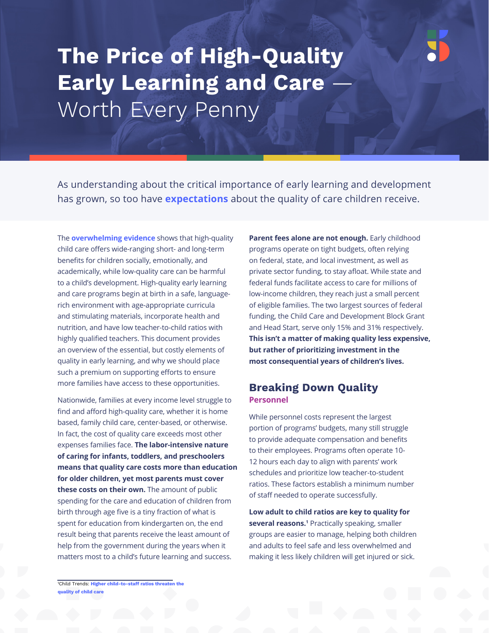# **The Price of High-Quality Early Learning and Care** Worth Every Penny

As understanding about the critical importance of early learning and development has grown, so too have **[expectations](https://www.ffyf.org/wp-content/uploads/2018/10/FFYF-Aggregate-Polling-Analysis.pdf)** about the quality of care children receive.

The **[overwhelming evidence](https://www.ffyf.org/when-it-comes-to-child-care-quality-matters-more-than-you-may-think/)** shows that high-quality child care offers wide-ranging short- and long-term benefits for children socially, emotionally, and academically, while low-quality care can be harmful to a child's development. High-quality early learning and care programs begin at birth in a safe, languagerich environment with age-appropriate curricula and stimulating materials, incorporate health and nutrition, and have low teacher-to-child ratios with highly qualified teachers. This document provides an overview of the essential, but costly elements of quality in early learning, and why we should place such a premium on supporting efforts to ensure more families have access to these opportunities.

Nationwide, families at every income level struggle to find and afford high-quality care, whether it is home based, family child care, center-based, or otherwise. In fact, the cost of quality care exceeds most other expenses families face. **The labor-intensive nature of caring for infants, toddlers, and preschoolers means that quality care costs more than education for older children, yet most parents must cover these costs on their own.** The amount of public spending for the care and education of children from birth through age five is a tiny fraction of what is spent for education from kindergarten on, the end result being that parents receive the least amount of help from the government during the years when it matters most to a child's future learning and success.

**Parent fees alone are not enough.** Early childhood programs operate on tight budgets, often relying on federal, state, and local investment, as well as private sector funding, to stay afloat. While state and federal funds facilitate access to care for millions of low-income children, they reach just a small percent of eligible families. The two largest sources of federal funding, the Child Care and Development Block Grant and Head Start, serve only 15% and 31% respectively. **This isn't a matter of making quality less expensive, but rather of prioritizing investment in the most consequential years of children's lives.**

# **Breaking Down Quality Personnel**

While personnel costs represent the largest portion of programs' budgets, many still struggle to provide adequate compensation and benefits to their employees. Programs often operate 10- 12 hours each day to align with parents' work schedules and prioritize low teacher-to-student ratios. These factors establish a minimum number of staff needed to operate successfully.

**Low adult to child ratios are key to quality for several reasons.**<sup>1</sup> Practically speaking, smaller groups are easier to manage, helping both children and adults to feel safe and less overwhelmed and making it less likely children will get injured or sick.

<sup>1</sup>Child Trends: **[Higher child-to-staff ratios threaten the](https://www.childtrends.org/higher-child-staff-ratios-threaten-quality-child-care)  quality of child care**